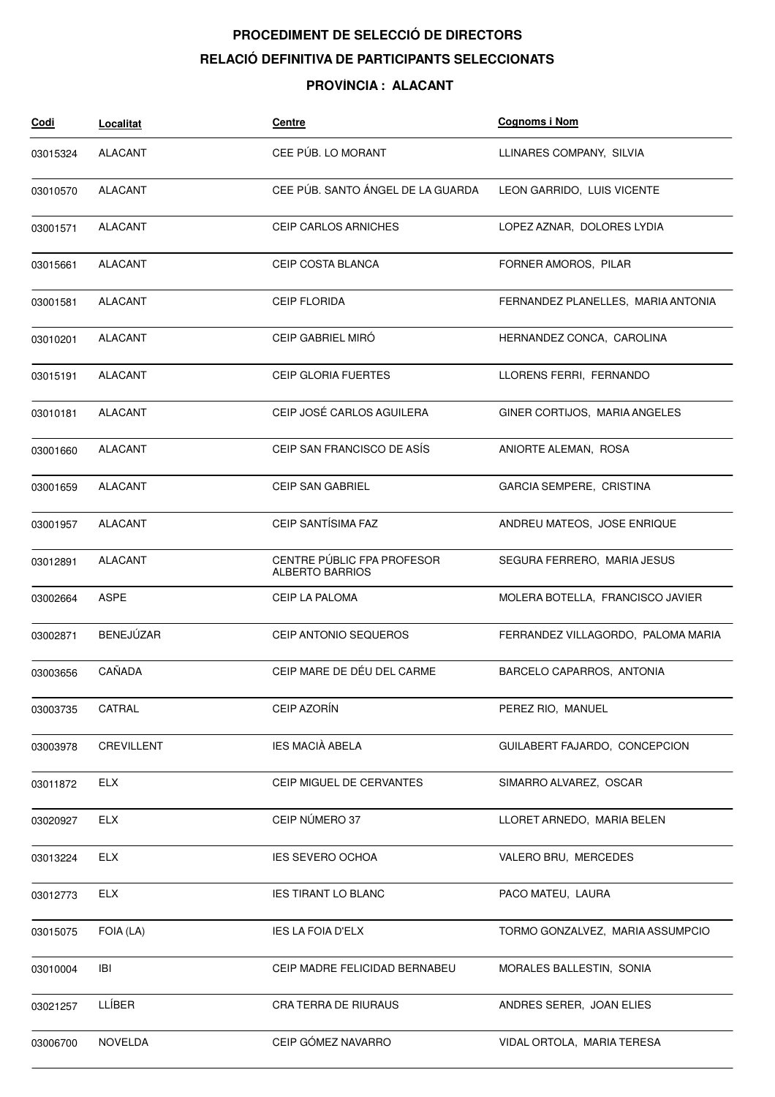## **PROCEDIMENT DE SELECCIÓ DE DIRECTORS RELACIÓ DEFINITIVA DE PARTICIPANTS SELECCIONATS**

## **PROVÍNCIA : ALACANT**

| <u>Codi</u> | Localitat      | Centre                                               | <b>Cognoms i Nom</b>               |
|-------------|----------------|------------------------------------------------------|------------------------------------|
| 03015324    | <b>ALACANT</b> | CEE PÚB. LO MORANT                                   | LLINARES COMPANY, SILVIA           |
| 03010570    | <b>ALACANT</b> | CEE PÚB. SANTO ÁNGEL DE LA GUARDA                    | LEON GARRIDO, LUIS VICENTE         |
| 03001571    | ALACANT        | <b>CEIP CARLOS ARNICHES</b>                          | LOPEZ AZNAR, DOLORES LYDIA         |
| 03015661    | <b>ALACANT</b> | <b>CEIP COSTA BLANCA</b>                             | FORNER AMOROS, PILAR               |
| 03001581    | <b>ALACANT</b> | <b>CEIP FLORIDA</b>                                  | FERNANDEZ PLANELLES, MARIA ANTONIA |
| 03010201    | ALACANT        | CEIP GABRIEL MIRÓ                                    | HERNANDEZ CONCA, CAROLINA          |
| 03015191    | ALACANT        | <b>CEIP GLORIA FUERTES</b>                           | LLORENS FERRI, FERNANDO            |
| 03010181    | ALACANT        | CEIP JOSÉ CARLOS AGUILERA                            | GINER CORTIJOS, MARIA ANGELES      |
| 03001660    | <b>ALACANT</b> | CEIP SAN FRANCISCO DE ASÍS                           | ANIORTE ALEMAÑ, ROSA               |
| 03001659    | <b>ALACANT</b> | <b>CEIP SAN GABRIEL</b>                              | GARCIA SEMPERE, CRISTINA           |
| 03001957    | ALACANT        | CEIP SANTÍSIMA FAZ                                   | ANDREU MATEOS, JOSE ENRIQUE        |
| 03012891    | <b>ALACANT</b> | CENTRE PÚBLIC FPA PROFESOR<br><b>ALBERTO BARRIOS</b> | SEGURA FERRERO, MARIA JESUS        |
| 03002664    | ASPE           | CEIP LA PALOMA                                       | MOLERA BOTELLA, FRANCISCO JAVIER   |
| 03002871    | BENEJÚZAR      | CEIP ANTONIO SEQUEROS                                | FERRANDEZ VILLAGORDO, PALOMA MARIA |
| 03003656    | CAÑADA         | CEIP MARE DE DÉU DEL CARME                           | BARCELO CAPARROS, ANTONIA          |
| 03003735    | CATRAL         | CEIP AZORÍN                                          | PEREZ RIO, MANUEL                  |
| 03003978    | CREVILLENT     | <b>IES MACIÀ ABELA</b>                               | GUILABERT FAJARDO, CONCEPCION      |
| 03011872    | <b>ELX</b>     | CEIP MIGUEL DE CERVANTES                             | SIMARRO ALVAREZ, OSCAR             |
| 03020927    | <b>ELX</b>     | CEIP NÚMERO 37                                       | LLORET ARNEDO, MARIA BELEN         |
| 03013224    | <b>ELX</b>     | <b>IES SEVERO OCHOA</b>                              | VALERO BRU, MERCEDES               |
| 03012773    | <b>ELX</b>     | <b>IES TIRANT LO BLANC</b>                           | PACO MATEU, LAURA                  |
| 03015075    | FOIA (LA)      | <b>IES LA FOIA D'ELX</b>                             | TORMO GONZALVEZ, MARIA ASSUMPCIO   |
| 03010004    | IBI            | CEIP MADRE FELICIDAD BERNABEU                        | MORALES BALLESTIN, SONIA           |
| 03021257    | LLÍBER         | CRA TERRA DE RIURAUS                                 | ANDRES SERER, JOAN ELIES           |
| 03006700    | <b>NOVELDA</b> | CEIP GÓMEZ NAVARRO                                   | VIDAL ORTOLA, MARIA TERESA         |